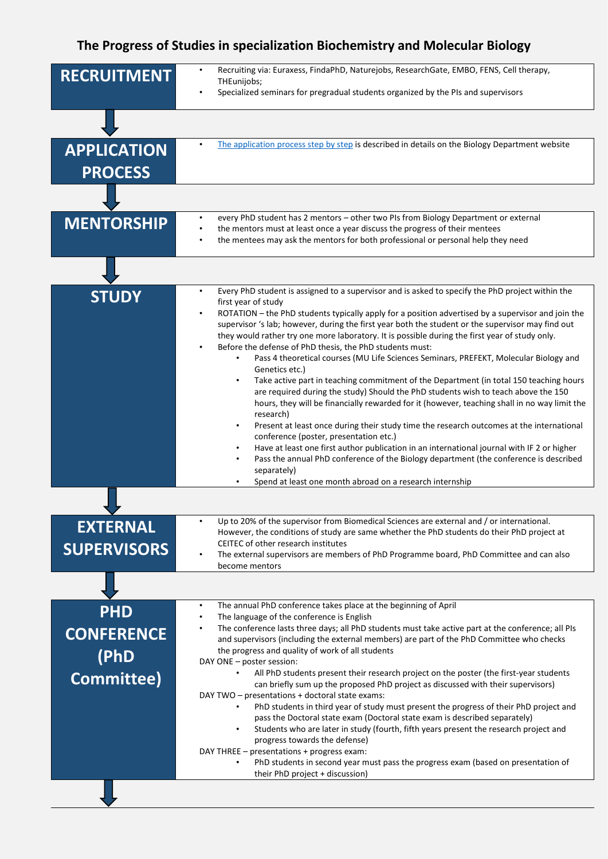## **The Progress of Studies in specialization Biochemistry and Molecular Biology**

| <b>RECRUITMENT</b>                                    | Recruiting via: Euraxess, FindaPhD, Naturejobs, ResearchGate, EMBO, FENS, Cell therapy,<br>THEunijobs;<br>Specialized seminars for pregradual students organized by the PIs and supervisors                                                                                                                                                                                                                                                                                                                                                                                                                                                                                                                                                                                                                                                                                                                                                                                                                                                                                                                                                                                                                                                                                                                                   |
|-------------------------------------------------------|-------------------------------------------------------------------------------------------------------------------------------------------------------------------------------------------------------------------------------------------------------------------------------------------------------------------------------------------------------------------------------------------------------------------------------------------------------------------------------------------------------------------------------------------------------------------------------------------------------------------------------------------------------------------------------------------------------------------------------------------------------------------------------------------------------------------------------------------------------------------------------------------------------------------------------------------------------------------------------------------------------------------------------------------------------------------------------------------------------------------------------------------------------------------------------------------------------------------------------------------------------------------------------------------------------------------------------|
|                                                       |                                                                                                                                                                                                                                                                                                                                                                                                                                                                                                                                                                                                                                                                                                                                                                                                                                                                                                                                                                                                                                                                                                                                                                                                                                                                                                                               |
| <b>APPLICATION</b><br><b>PROCESS</b>                  | The application process step by step is described in details on the Biology Department website                                                                                                                                                                                                                                                                                                                                                                                                                                                                                                                                                                                                                                                                                                                                                                                                                                                                                                                                                                                                                                                                                                                                                                                                                                |
|                                                       |                                                                                                                                                                                                                                                                                                                                                                                                                                                                                                                                                                                                                                                                                                                                                                                                                                                                                                                                                                                                                                                                                                                                                                                                                                                                                                                               |
| <b>MENTORSHIP</b>                                     | every PhD student has 2 mentors - other two PIs from Biology Department or external<br>the mentors must at least once a year discuss the progress of their mentees<br>the mentees may ask the mentors for both professional or personal help they need                                                                                                                                                                                                                                                                                                                                                                                                                                                                                                                                                                                                                                                                                                                                                                                                                                                                                                                                                                                                                                                                        |
|                                                       |                                                                                                                                                                                                                                                                                                                                                                                                                                                                                                                                                                                                                                                                                                                                                                                                                                                                                                                                                                                                                                                                                                                                                                                                                                                                                                                               |
| <b>STUDY</b>                                          | Every PhD student is assigned to a supervisor and is asked to specify the PhD project within the<br>first year of study<br>ROTATION - the PhD students typically apply for a position advertised by a supervisor and join the<br>supervisor 's lab; however, during the first year both the student or the supervisor may find out<br>they would rather try one more laboratory. It is possible during the first year of study only.<br>Before the defense of PhD thesis, the PhD students must:<br>Pass 4 theoretical courses (MU Life Sciences Seminars, PREFEKT, Molecular Biology and<br>Genetics etc.)<br>Take active part in teaching commitment of the Department (in total 150 teaching hours<br>$\bullet$<br>are required during the study) Should the PhD students wish to teach above the 150<br>hours, they will be financially rewarded for it (however, teaching shall in no way limit the<br>research)<br>Present at least once during their study time the research outcomes at the international<br>conference (poster, presentation etc.)<br>Have at least one first author publication in an international journal with IF 2 or higher<br>Pass the annual PhD conference of the Biology department (the conference is described<br>separately)<br>Spend at least one month abroad on a research internship |
|                                                       |                                                                                                                                                                                                                                                                                                                                                                                                                                                                                                                                                                                                                                                                                                                                                                                                                                                                                                                                                                                                                                                                                                                                                                                                                                                                                                                               |
| <b>EXTERNAL</b><br><b>SUPERVISORS</b>                 | Up to 20% of the supervisor from Biomedical Sciences are external and / or international.<br>However, the conditions of study are same whether the PhD students do their PhD project at<br>CEITEC of other research institutes<br>The external supervisors are members of PhD Programme board, PhD Committee and can also<br>become mentors                                                                                                                                                                                                                                                                                                                                                                                                                                                                                                                                                                                                                                                                                                                                                                                                                                                                                                                                                                                   |
|                                                       |                                                                                                                                                                                                                                                                                                                                                                                                                                                                                                                                                                                                                                                                                                                                                                                                                                                                                                                                                                                                                                                                                                                                                                                                                                                                                                                               |
| <b>PHD</b><br><b>CONFERENCE</b><br>(PhD<br>Committee) | The annual PhD conference takes place at the beginning of April<br>$\bullet$<br>The language of the conference is English<br>The conference lasts three days; all PhD students must take active part at the conference; all PIs<br>and supervisors (including the external members) are part of the PhD Committee who checks<br>the progress and quality of work of all students<br>DAY ONE - poster session:<br>All PhD students present their research project on the poster (the first-year students<br>$\bullet$<br>can briefly sum up the proposed PhD project as discussed with their supervisors)<br>DAY TWO - presentations + doctoral state exams:<br>PhD students in third year of study must present the progress of their PhD project and<br>pass the Doctoral state exam (Doctoral state exam is described separately)<br>Students who are later in study (fourth, fifth years present the research project and<br>$\bullet$                                                                                                                                                                                                                                                                                                                                                                                     |
|                                                       | progress towards the defense)<br>DAY THREE - presentations + progress exam:<br>PhD students in second year must pass the progress exam (based on presentation of<br>their PhD project + discussion)                                                                                                                                                                                                                                                                                                                                                                                                                                                                                                                                                                                                                                                                                                                                                                                                                                                                                                                                                                                                                                                                                                                           |